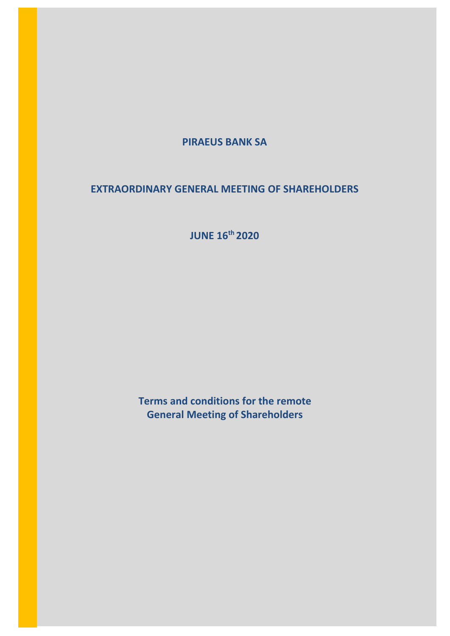## **PIRAEUS BANK SA**

# **EXTRAORDINARY GENERAL MEETING OF SHAREHOLDERS**

**JUNE 16th 2020**

**Terms and conditions for the remote General Meeting of Shareholders**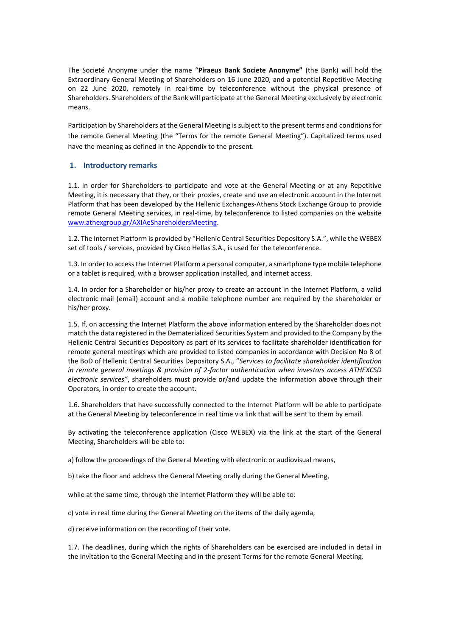The Societé Anonyme under the name "**Piraeus Bank Societe Anonyme"** (the Bank) will hold the Extraordinary General Meeting of Shareholders on 16 June 2020, and a potential Repetitive Meeting on 22 June 2020, remotely in real-time by teleconference without the physical presence of Shareholders. Shareholders of the Bank will participate at the General Meeting exclusively by electronic means.

Participation by Shareholders at the General Meeting is subject to the present terms and conditions for the remote General Meeting (the "Terms for the remote General Meeting"). Capitalized terms used have the meaning as defined in the Appendix to the present.

### **1. Introductory remarks**

1.1. In order for Shareholders to participate and vote at the General Meeting or at any Repetitive Meeting, it is necessary that they, or their proxies, create and use an electronic account in the Internet Platform that has been developed by the Hellenic Exchanges-Athens Stock Exchange Group to provide remote General Meeting services, in real-time, by teleconference to listed companies on the website [www.athexgroup.gr/AXIAeShareholdersMeeting.](http://www.athexgroup.gr/AXIAeShareholdersMeeting)

1.2. The Internet Platform is provided by "Hellenic Central Securities Depository S.A.", while the WEBEX set of tools / services, provided by Cisco Hellas S.A., is used for the teleconference.

1.3. In order to access the Internet Platform a personal computer, a smartphone type mobile telephone or a tablet is required, with a browser application installed, and internet access.

1.4. In order for a Shareholder or his/her proxy to create an account in the Internet Platform, a valid electronic mail (email) account and a mobile telephone number are required by the shareholder or his/her proxy.

1.5. If, on accessing the Internet Platform the above information entered by the Shareholder does not match the data registered in the Dematerialized Securities System and provided to the Company by the Hellenic Central Securities Depository as part of its services to facilitate shareholder identification for remote general meetings which are provided to listed companies in accordance with Decision No 8 of the BoD of Hellenic Central Securities Depository S.A., "*Services to facilitate shareholder identification in remote general meetings & provision of 2-factor authentication when investors access ATHEXCSD electronic services"*, shareholders must provide or/and update the information above through their Operators, in order to create the account.

1.6. Shareholders that have successfully connected to the Internet Platform will be able to participate at the General Meeting by teleconference in real time via link that will be sent to them by email.

By activating the teleconference application (Cisco WEBEX) via the link at the start of the General Meeting, Shareholders will be able to:

a) follow the proceedings of the General Meeting with electronic or audiovisual means,

b) take the floor and address the General Meeting orally during the General Meeting,

while at the same time, through the Internet Platform they will be able to:

c) vote in real time during the General Meeting on the items of the daily agenda,

d) receive information on the recording of their vote.

1.7. The deadlines, during which the rights of Shareholders can be exercised are included in detail in the Invitation to the General Meeting and in the present Terms for the remote General Meeting.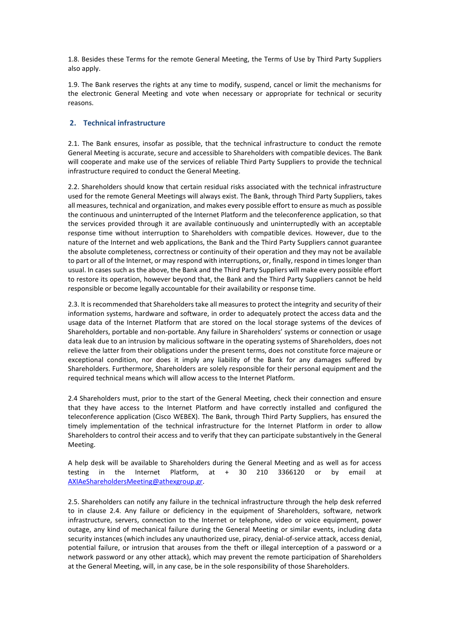1.8. Besides these Terms for the remote General Meeting, the Terms of Use by Third Party Suppliers also apply.

1.9. The Bank reserves the rights at any time to modify, suspend, cancel or limit the mechanisms for the electronic General Meeting and vote when necessary or appropriate for technical or security reasons.

## **2. Technical infrastructure**

2.1. The Bank ensures, insofar as possible, that the technical infrastructure to conduct the remote General Meeting is accurate, secure and accessible to Shareholders with compatible devices. The Bank will cooperate and make use of the services of reliable Third Party Suppliers to provide the technical infrastructure required to conduct the General Meeting.

2.2. Shareholders should know that certain residual risks associated with the technical infrastructure used for the remote General Meetings will always exist. The Bank, through Third Party Suppliers, takes all measures, technical and organization, and makes every possible effort to ensure as much as possible the continuous and uninterrupted of the Internet Platform and the teleconference application, so that the services provided through it are available continuously and uninterruptedly with an acceptable response time without interruption to Shareholders with compatible devices. However, due to the nature of the Internet and web applications, the Bank and the Third Party Suppliers cannot guarantee the absolute completeness, correctness or continuity of their operation and they may not be available to part or all of the Internet, or may respond with interruptions, or, finally, respond in times longer than usual. In cases such as the above, the Bank and the Third Party Suppliers will make every possible effort to restore its operation, however beyond that, the Bank and the Third Party Suppliers cannot be held responsible or become legally accountable for their availability or response time.

2.3. It is recommended that Shareholders take all measures to protect the integrity and security of their information systems, hardware and software, in order to adequately protect the access data and the usage data of the Internet Platform that are stored on the local storage systems of the devices of Shareholders, portable and non-portable. Any failure in Shareholders' systems or connection or usage data leak due to an intrusion by malicious software in the operating systems of Shareholders, does not relieve the latter from their obligations under the present terms, does not constitute force majeure or exceptional condition, nor does it imply any liability of the Bank for any damages suffered by Shareholders. Furthermore, Shareholders are solely responsible for their personal equipment and the required technical means which will allow access to the Internet Platform.

2.4 Shareholders must, prior to the start of the General Meeting, check their connection and ensure that they have access to the Internet Platform and have correctly installed and configured the teleconference application (Cisco WEBEX). The Bank, through Third Party Suppliers, has ensured the timely implementation of the technical infrastructure for the Internet Platform in order to allow Shareholders to control their access and to verify that they can participate substantively in the General Meeting.

A help desk will be available to Shareholders during the General Meeting and as well as for access testing in the Internet Platform, at + 30 210 3366120 or by email at [AXIAeShareholdersMeeting@athexgroup.gr.](mailto:AXIAeShareholdersMeeting@athexgroup.gr)

2.5. Shareholders can notify any failure in the technical infrastructure through the help desk referred to in clause 2.4. Any failure or deficiency in the equipment of Shareholders, software, network infrastructure, servers, connection to the Internet or telephone, video or voice equipment, power outage, any kind of mechanical failure during the General Meeting or similar events, including data security instances (which includes any unauthorized use, piracy, denial-of-service attack, access denial, potential failure, or intrusion that arouses from the theft or illegal interception of a password or a network password or any other attack), which may prevent the remote participation of Shareholders at the General Meeting, will, in any case, be in the sole responsibility of those Shareholders.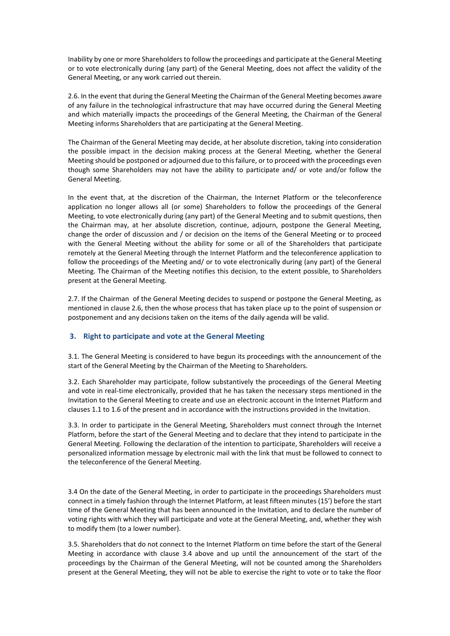Inability by one or more Shareholders to follow the proceedings and participate at the General Meeting or to vote electronically during (any part) of the General Meeting, does not affect the validity of the General Meeting, or any work carried out therein.

2.6. In the event that during the General Meeting the Chairman of the General Meeting becomes aware of any failure in the technological infrastructure that may have occurred during the General Meeting and which materially impacts the proceedings of the General Meeting, the Chairman of the General Meeting informs Shareholders that are participating at the General Meeting.

The Chairman of the General Meeting may decide, at her absolute discretion, taking into consideration the possible impact in the decision making process at the General Meeting, whether the General Meeting should be postponed or adjourned due to this failure, or to proceed with the proceedings even though some Shareholders may not have the ability to participate and/ or vote and/or follow the General Meeting.

In the event that, at the discretion of the Chairman, the Internet Platform or the teleconference application no longer allows all (or some) Shareholders to follow the proceedings of the General Meeting, to vote electronically during (any part) of the General Meeting and to submit questions, then the Chairman may, at her absolute discretion, continue, adjourn, postpone the General Meeting, change the order of discussion and / or decision on the items of the General Meeting or to proceed with the General Meeting without the ability for some or all of the Shareholders that participate remotely at the General Meeting through the Internet Platform and the teleconference application to follow the proceedings of the Meeting and/ or to vote electronically during (any part) of the General Meeting. The Chairman of the Meeting notifies this decision, to the extent possible, to Shareholders present at the General Meeting.

2.7. If the Chairman of the General Meeting decides to suspend or postpone the General Meeting, as mentioned in clause 2.6, then the whose process that has taken place up to the point of suspension or postponement and any decisions taken on the items of the daily agenda will be valid.

## **3. Right to participate and vote at the General Meeting**

3.1. The General Meeting is considered to have begun its proceedings with the announcement of the start of the General Meeting by the Chairman of the Meeting to Shareholders.

3.2. Each Shareholder may participate, follow substantively the proceedings of the General Meeting and vote in real-time electronically, provided that he has taken the necessary steps mentioned in the Invitation to the General Meeting to create and use an electronic account in the Internet Platform and clauses 1.1 to 1.6 of the present and in accordance with the instructions provided in the Invitation.

3.3. In order to participate in the General Meeting, Shareholders must connect through the Internet Platform, before the start of the General Meeting and to declare that they intend to participate in the General Meeting. Following the declaration of the intention to participate, Shareholders will receive a personalized information message by electronic mail with the link that must be followed to connect to the teleconference of the General Meeting.

3.4 On the date of the General Meeting, in order to participate in the proceedings Shareholders must connect in a timely fashion through the Internet Platform, at least fifteen minutes (15') before the start time of the General Meeting that has been announced in the Invitation, and to declare the number of voting rights with which they will participate and vote at the General Meeting, and, whether they wish to modify them (to a lower number).

3.5. Shareholders that do not connect to the Internet Platform on time before the start of the General Meeting in accordance with clause 3.4 above and up until the announcement of the start of the proceedings by the Chairman of the General Meeting, will not be counted among the Shareholders present at the General Meeting, they will not be able to exercise the right to vote or to take the floor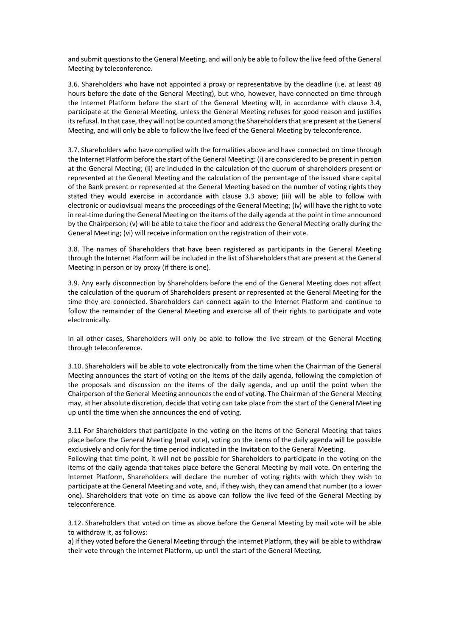and submit questions to the General Meeting, and will only be able to follow the live feed of the General Meeting by teleconference.

3.6. Shareholders who have not appointed a proxy or representative by the deadline (i.e. at least 48 hours before the date of the General Meeting), but who, however, have connected on time through the Internet Platform before the start of the General Meeting will, in accordance with clause 3.4, participate at the General Meeting, unless the General Meeting refuses for good reason and justifies its refusal. In that case, they will not be counted among the Shareholders that are present at the General Meeting, and will only be able to follow the live feed of the General Meeting by teleconference.

3.7. Shareholders who have complied with the formalities above and have connected on time through the Internet Platform before the start of the General Meeting: (i) are considered to be present in person at the General Meeting; (ii) are included in the calculation of the quorum of shareholders present or represented at the General Meeting and the calculation of the percentage of the issued share capital of the Bank present or represented at the General Meeting based on the number of voting rights they stated they would exercise in accordance with clause 3.3 above; (iii) will be able to follow with electronic or audiovisual means the proceedings of the General Meeting; (iv) will have the right to vote in real-time during the General Meeting on the items of the daily agenda at the point in time announced by the Chairperson; (v) will be able to take the floor and address the General Meeting orally during the General Meeting; (vi) will receive information on the registration of their vote.

3.8. The names of Shareholders that have been registered as participants in the General Meeting through the Internet Platform will be included in the list of Shareholders that are present at the General Meeting in person or by proxy (if there is one).

3.9. Any early disconnection by Shareholders before the end of the General Meeting does not affect the calculation of the quorum of Shareholders present or represented at the General Meeting for the time they are connected. Shareholders can connect again to the Internet Platform and continue to follow the remainder of the General Meeting and exercise all of their rights to participate and vote electronically.

In all other cases, Shareholders will only be able to follow the live stream of the General Meeting through teleconference.

3.10. Shareholders will be able to vote electronically from the time when the Chairman of the General Meeting announces the start of voting on the items of the daily agenda, following the completion of the proposals and discussion on the items of the daily agenda, and up until the point when the Chairperson of the General Meeting announces the end of voting. The Chairman of the General Meeting may, at her absolute discretion, decide that voting can take place from the start of the General Meeting up until the time when she announces the end of voting.

3.11 For Shareholders that participate in the voting on the items of the General Meeting that takes place before the General Meeting (mail vote), voting on the items of the daily agenda will be possible exclusively and only for the time period indicated in the Invitation to the General Meeting.

Following that time point, it will not be possible for Shareholders to participate in the voting on the items of the daily agenda that takes place before the General Meeting by mail vote. On entering the Internet Platform, Shareholders will declare the number of voting rights with which they wish to participate at the General Meeting and vote, and, if they wish, they can amend that number (to a lower one). Shareholders that vote on time as above can follow the live feed of the General Meeting by teleconference.

3.12. Shareholders that voted on time as above before the General Meeting by mail vote will be able to withdraw it, as follows:

a) If they voted before the General Meeting through the Internet Platform, they will be able to withdraw their vote through the Internet Platform, up until the start of the General Meeting.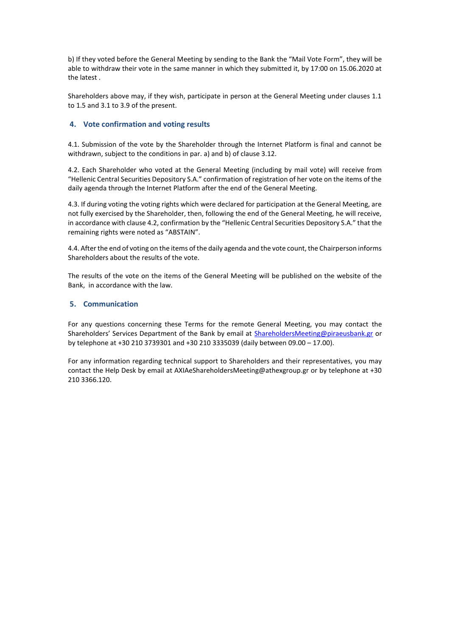b) If they voted before the General Meeting by sending to the Bank the "Mail Vote Form", they will be able to withdraw their vote in the same manner in which they submitted it, by 17:00 on 15.06.2020 at the latest .

Shareholders above may, if they wish, participate in person at the General Meeting under clauses 1.1 to 1.5 and 3.1 to 3.9 of the present.

## **4. Vote confirmation and voting results**

4.1. Submission of the vote by the Shareholder through the Internet Platform is final and cannot be withdrawn, subject to the conditions in par. a) and b) of clause 3.12.

4.2. Each Shareholder who voted at the General Meeting (including by mail vote) will receive from "Hellenic Central Securities Depository S.A." confirmation of registration of her vote on the items of the daily agenda through the Internet Platform after the end of the General Meeting.

4.3. If during voting the voting rights which were declared for participation at the General Meeting, are not fully exercised by the Shareholder, then, following the end of the General Meeting, he will receive, in accordance with clause 4.2, confirmation by the "Hellenic Central Securities Depository S.A." that the remaining rights were noted as "ABSTAIN".

4.4. After the end of voting on the items of the daily agenda and the vote count, the Chairperson informs Shareholders about the results of the vote.

The results of the vote on the items of the General Meeting will be published on the website of the Bank, in accordance with the law.

### **5. Communication**

For any questions concerning these Terms for the remote General Meeting, you may contact the Shareholders' Services Department of the Bank by email at [ShareholdersMeeting@piraeusbank.gr](mailto:sharesdept@piraeusbank.gr) or by telephone at +30 210 3739301 and +30 210 3335039 (daily between 09.00 – 17.00).

For any information regarding technical support to Shareholders and their representatives, you may contact the Help Desk by email at AXIAeShareholdersMeeting@athexgroup.gr or by telephone at +30 210 3366.120.